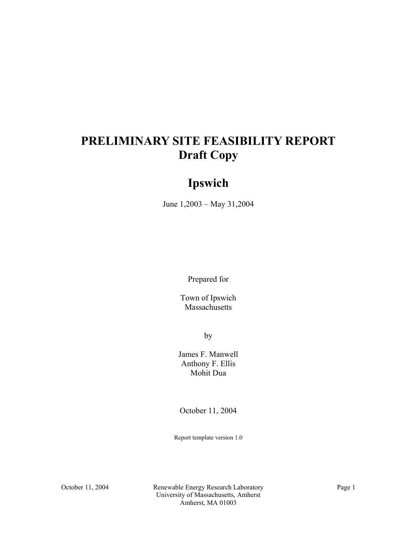# **PRELIMINARY SITE FEASIBILITY REPORT Draft Copy**

# **Ipswich**

June 1,2003 – May 31,2004

Prepared for

Town of Ipswich Massachusetts

by

James F. Manwell Anthony F. Ellis Mohit Dua

October 11, 2004

Report template version 1.0

October 11, 2004 Renewable Energy Research Laboratory Page 1 University of Massachusetts, Amherst Amherst, MA 01003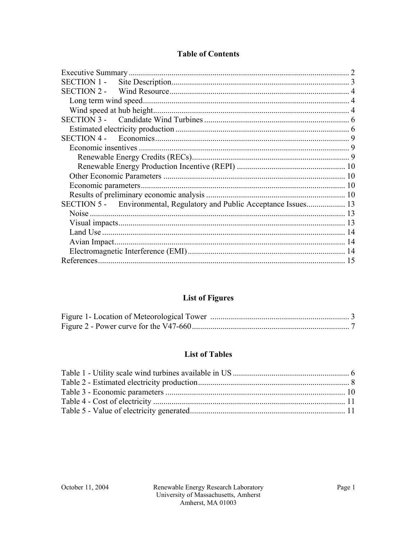## **Table of Contents**

| SECTION 5 - Environmental, Regulatory and Public Acceptance Issues 13 |  |
|-----------------------------------------------------------------------|--|
| <b>Noise</b>                                                          |  |
|                                                                       |  |
|                                                                       |  |
|                                                                       |  |
|                                                                       |  |
|                                                                       |  |

## **List of Figures**

### **List of Tables**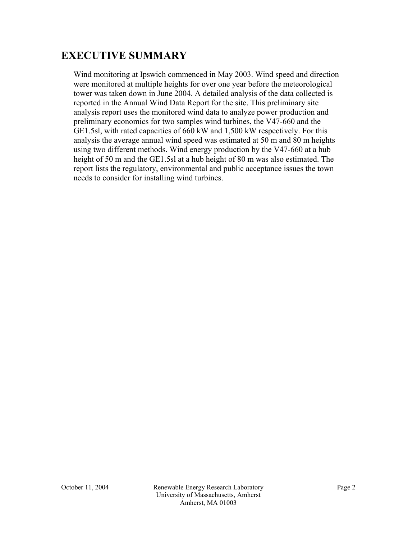# **EXECUTIVE SUMMARY**

Wind monitoring at Ipswich commenced in May 2003. Wind speed and direction were monitored at multiple heights for over one year before the meteorological tower was taken down in June 2004. A detailed analysis of the data collected is reported in the Annual Wind Data Report for the site. This preliminary site analysis report uses the monitored wind data to analyze power production and preliminary economics for two samples wind turbines, the V47-660 and the GE1.5sl, with rated capacities of 660 kW and 1,500 kW respectively. For this analysis the average annual wind speed was estimated at 50 m and 80 m heights using two different methods. Wind energy production by the V47-660 at a hub height of 50 m and the GE1.5sl at a hub height of 80 m was also estimated. The report lists the regulatory, environmental and public acceptance issues the town needs to consider for installing wind turbines.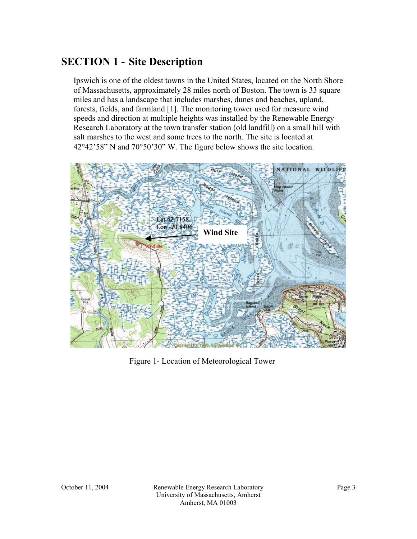## **SECTION 1 - Site Description**

Ipswich is one of the oldest towns in the United States, located on the North Shore of Massachusetts, approximately 28 miles north of Boston. The town is 33 square miles and has a landscape that includes marshes, dunes and beaches, upland, forests, fields, and farmland [1]. The monitoring tower used for measure wind speeds and direction at multiple heights was installed by the Renewable Energy Research Laboratory at the town transfer station (old landfill) on a small hill with salt marshes to the west and some trees to the north. The site is located at 42°42'58" N and 70°50'30" W. The figure below shows the site location.



Figure 1- Location of Meteorological Tower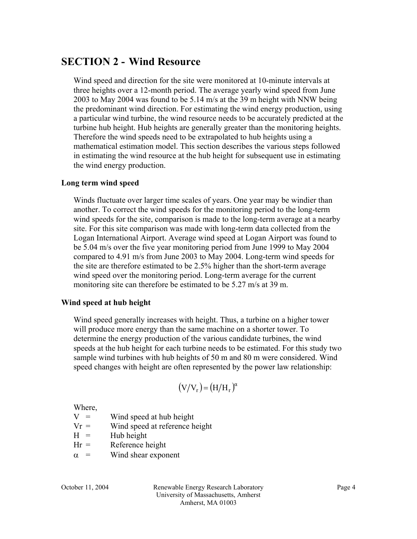## **SECTION 2 - Wind Resource**

Wind speed and direction for the site were monitored at 10-minute intervals at three heights over a 12-month period. The average yearly wind speed from June 2003 to May 2004 was found to be 5.14 m/s at the 39 m height with NNW being the predominant wind direction. For estimating the wind energy production, using a particular wind turbine, the wind resource needs to be accurately predicted at the turbine hub height. Hub heights are generally greater than the monitoring heights. Therefore the wind speeds need to be extrapolated to hub heights using a mathematical estimation model. This section describes the various steps followed in estimating the wind resource at the hub height for subsequent use in estimating the wind energy production.

#### **Long term wind speed**

Winds fluctuate over larger time scales of years. One year may be windier than another. To correct the wind speeds for the monitoring period to the long-term wind speeds for the site, comparison is made to the long-term average at a nearby site. For this site comparison was made with long-term data collected from the Logan International Airport. Average wind speed at Logan Airport was found to be 5.04 m/s over the five year monitoring period from June 1999 to May 2004 compared to 4.91 m/s from June 2003 to May 2004. Long-term wind speeds for the site are therefore estimated to be 2.5% higher than the short-term average wind speed over the monitoring period. Long-term average for the current monitoring site can therefore be estimated to be 5.27 m/s at 39 m.

#### **Wind speed at hub height**

Wind speed generally increases with height. Thus, a turbine on a higher tower will produce more energy than the same machine on a shorter tower. To determine the energy production of the various candidate turbines, the wind speeds at the hub height for each turbine needs to be estimated. For this study two sample wind turbines with hub heights of 50 m and 80 m were considered. Wind speed changes with height are often represented by the power law relationship:

$$
(V/V_r) = (H/H_r)^{\alpha}
$$

Where,  $V =$ 

Wind speed at hub height

- $Vr =$  Wind speed at reference height
- $H =$  Hub height
- $Hr =$  Reference height
- $\alpha$  = Wind shear exponent

October 11, 2004 Renewable Energy Research Laboratory Page 4 University of Massachusetts, Amherst Amherst, MA 01003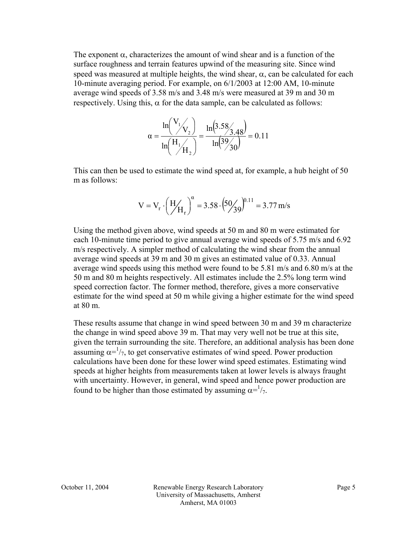The exponent  $\alpha$ , characterizes the amount of wind shear and is a function of the surface roughness and terrain features upwind of the measuring site. Since wind speed was measured at multiple heights, the wind shear,  $\alpha$ , can be calculated for each 10-minute averaging period. For example, on 6/1/2003 at 12:00 AM, 10-minute average wind speeds of 3.58 m/s and 3.48 m/s were measured at 39 m and 30 m respectively. Using this,  $\alpha$  for the data sample, can be calculated as follows:

$$
\alpha = \frac{\ln\left(\frac{V_1}{V_2}\right)}{\ln\left(\frac{H_1}{H_2}\right)} = \frac{\ln\left(3.58\right)}{\ln\left(39\right)} = 0.11
$$

This can then be used to estimate the wind speed at, for example, a hub height of 50 m as follows:

$$
V = V_r \cdot \left(\frac{H}{H_r}\right)^{\alpha} = 3.58 \cdot \left(\frac{50}{39}\right)^{0.11} = 3.77 \text{ m/s}
$$

Using the method given above, wind speeds at 50 m and 80 m were estimated for each 10-minute time period to give annual average wind speeds of 5.75 m/s and 6.92 m/s respectively. A simpler method of calculating the wind shear from the annual average wind speeds at 39 m and 30 m gives an estimated value of 0.33. Annual average wind speeds using this method were found to be 5.81 m/s and 6.80 m/s at the 50 m and 80 m heights respectively. All estimates include the 2.5% long term wind speed correction factor. The former method, therefore, gives a more conservative estimate for the wind speed at 50 m while giving a higher estimate for the wind speed at 80 m.

These results assume that change in wind speed between 30 m and 39 m characterize the change in wind speed above 39 m. That may very well not be true at this site, given the terrain surrounding the site. Therefore, an additional analysis has been done assuming  $\alpha = \frac{1}{7}$ , to get conservative estimates of wind speed. Power production calculations have been done for these lower wind speed estimates. Estimating wind speeds at higher heights from measurements taken at lower levels is always fraught with uncertainty. However, in general, wind speed and hence power production are found to be higher than those estimated by assuming  $\alpha = \frac{1}{7}$ .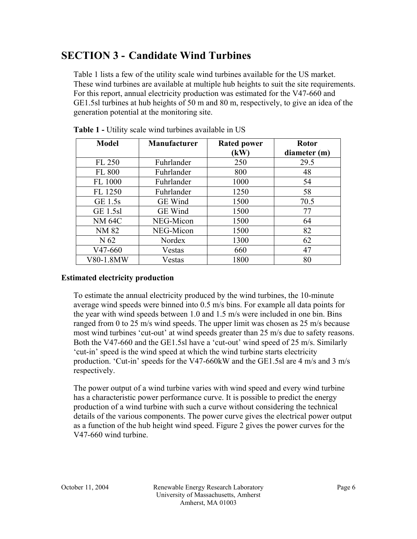# **SECTION 3 - Candidate Wind Turbines**

Table 1 lists a few of the utility scale wind turbines available for the US market. These wind turbines are available at multiple hub heights to suit the site requirements. For this report, annual electricity production was estimated for the V47-660 and GE1.5sl turbines at hub heights of 50 m and 80 m, respectively, to give an idea of the generation potential at the monitoring site.

| <b>Model</b>    | <b>Manufacturer</b> | <b>Rated power</b><br>(kW) | <b>Rotor</b><br>diameter (m) |
|-----------------|---------------------|----------------------------|------------------------------|
| FL 250          | Fuhrlander          | 250                        | 29.5                         |
| FL 800          | Fuhrlander          | 800                        | 48                           |
| FL 1000         | Fuhrlander          | 1000                       | 54                           |
| FL 1250         | Fuhrlander          | 1250                       | 58                           |
| GE 1.5s         | <b>GE</b> Wind      | 1500                       | 70.5                         |
| <b>GE 1.5sl</b> | GE Wind             | 1500                       | 77                           |
| <b>NM 64C</b>   | NEG-Micon           | 1500                       | 64                           |
| NM 82           | NEG-Micon           | 1500                       | 82                           |
| N 62            | Nordex              | 1300                       | 62                           |
| $V47-660$       | Vestas              | 660                        | 47                           |
| V80-1.8MW       | Vestas              | 1800                       | 80                           |

**Table 1 -** Utility scale wind turbines available in US

## **Estimated electricity production**

To estimate the annual electricity produced by the wind turbines, the 10-minute average wind speeds were binned into 0.5 m/s bins. For example all data points for the year with wind speeds between 1.0 and 1.5 m/s were included in one bin. Bins ranged from 0 to 25 m/s wind speeds. The upper limit was chosen as 25 m/s because most wind turbines 'cut-out' at wind speeds greater than 25 m/s due to safety reasons. Both the V47-660 and the GE1.5sl have a 'cut-out' wind speed of 25 m/s. Similarly 'cut-in' speed is the wind speed at which the wind turbine starts electricity production. 'Cut-in' speeds for the V47-660kW and the GE1.5sl are 4 m/s and 3 m/s respectively.

The power output of a wind turbine varies with wind speed and every wind turbine has a characteristic power performance curve. It is possible to predict the energy production of a wind turbine with such a curve without considering the technical details of the various components. The power curve gives the electrical power output as a function of the hub height wind speed. Figure 2 gives the power curves for the V47-660 wind turbine.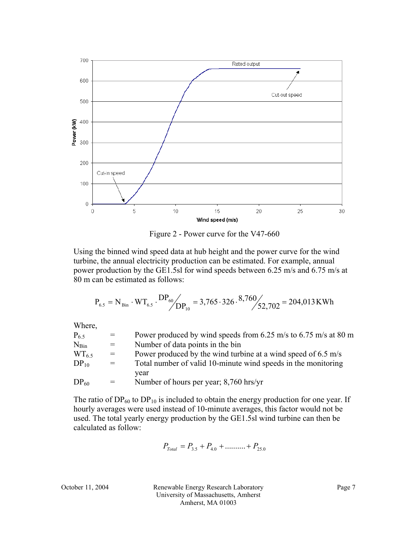

Figure 2 - Power curve for the V47-660

Using the binned wind speed data at hub height and the power curve for the wind turbine, the annual electricity production can be estimated. For example, annual power production by the GE1.5sl for wind speeds between 6.25 m/s and 6.75 m/s at 80 m can be estimated as follows:

$$
P_{\rm 6.5} = N_{\rm Bin} \cdot WT_{\rm 6.5} \cdot DP_{\rm 60} / \frac{DP_{\rm 60}}{DP_{\rm 10}} = 3,765 \cdot 326 \cdot 8,760 / \frac{52,702}{=}204,013\,\rm KWh
$$

Where,

| $=$ | Power produced by wind speeds from 6.25 m/s to 6.75 m/s at 80 m |
|-----|-----------------------------------------------------------------|
| $=$ | Number of data points in the bin                                |
| $=$ | Power produced by the wind turbine at a wind speed of 6.5 m/s   |
| $=$ | Total number of valid 10-minute wind speeds in the monitoring   |
|     | vear                                                            |
| $=$ | Number of hours per year; 8,760 hrs/yr                          |
|     |                                                                 |

The ratio of  $DP_{60}$  to  $DP_{10}$  is included to obtain the energy production for one year. If hourly averages were used instead of 10-minute averages, this factor would not be used. The total yearly energy production by the GE1.5sl wind turbine can then be calculated as follow:

$$
P_{\text{Total}} = P_{3.5} + P_{4.0} + \dots + P_{25.0}
$$

October 11, 2004 Renewable Energy Research Laboratory Page 7 University of Massachusetts, Amherst Amherst, MA 01003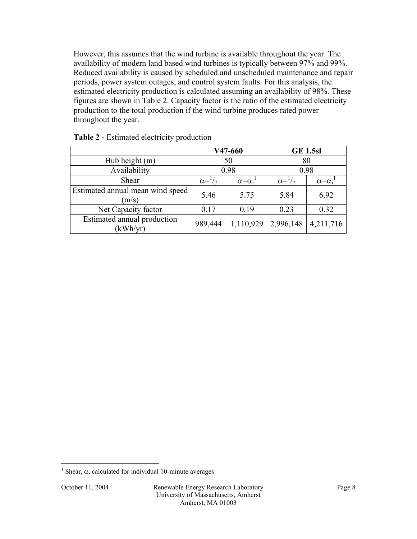However, this assumes that the wind turbine is available throughout the year. The availability of modern land based wind turbines is typically between 97% and 99%. Reduced availability is caused by scheduled and unscheduled maintenance and repair periods, power system outages, and control system faults. For this analysis, the estimated electricity production is calculated assuming an availability of 98%. These figures are shown in Table 2. Capacity factor is the ratio of the estimated electricity production to the total production if the wind turbine produces rated power throughout the year.

|                                           | V47-660                |                     | <b>GE 1.5sl</b>        |                     |
|-------------------------------------------|------------------------|---------------------|------------------------|---------------------|
| Hub height (m)                            | 50                     |                     | 80                     |                     |
| Availability                              | 0.98                   |                     | 0.98                   |                     |
| Shear                                     | $\alpha = \frac{1}{7}$ | $\alpha = \alpha_i$ | $\alpha = \frac{1}{7}$ | $\alpha = \alpha_i$ |
| Estimated annual mean wind speed<br>(m/s) | 5.46                   | 5.75                | 5.84                   | 6.92                |
| Net Capacity factor                       | 0.17                   | 0.19                | 0.23                   | 0.32                |
| Estimated annual production<br>(kWh/yr)   | 989,444                | 1,110,929           | 2,996,148              | 4,211,716           |

| Table 2 - Estimated electricity production |  |  |
|--------------------------------------------|--|--|
|--------------------------------------------|--|--|

 $\overline{a}$ 

<sup>&</sup>lt;sup>1</sup> Shear,  $\alpha$ , calculated for individual 10-minute averages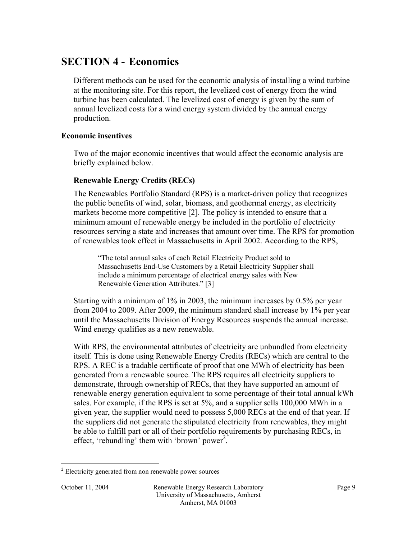## **SECTION 4 - Economics**

Different methods can be used for the economic analysis of installing a wind turbine at the monitoring site. For this report, the levelized cost of energy from the wind turbine has been calculated. The levelized cost of energy is given by the sum of annual levelized costs for a wind energy system divided by the annual energy production.

### **Economic insentives**

Two of the major economic incentives that would affect the economic analysis are briefly explained below.

## **Renewable Energy Credits (RECs)**

The Renewables Portfolio Standard (RPS) is a market-driven policy that recognizes the public benefits of wind, solar, biomass, and geothermal energy, as electricity markets become more competitive [2]. The policy is intended to ensure that a minimum amount of renewable energy be included in the portfolio of electricity resources serving a state and increases that amount over time. The RPS for promotion of renewables took effect in Massachusetts in April 2002. According to the RPS,

"The total annual sales of each Retail Electricity Product sold to Massachusetts End-Use Customers by a Retail Electricity Supplier shall include a minimum percentage of electrical energy sales with New Renewable Generation Attributes." [3]

Starting with a minimum of 1% in 2003, the minimum increases by 0.5% per year from 2004 to 2009. After 2009, the minimum standard shall increase by 1% per year until the Massachusetts Division of Energy Resources suspends the annual increase. Wind energy qualifies as a new renewable.

With RPS, the environmental attributes of electricity are unbundled from electricity itself. This is done using Renewable Energy Credits (RECs) which are central to the RPS. A REC is a tradable certificate of proof that one MWh of electricity has been generated from a renewable source. The RPS requires all electricity suppliers to demonstrate, through ownership of RECs, that they have supported an amount of renewable energy generation equivalent to some percentage of their total annual kWh sales. For example, if the RPS is set at 5%, and a supplier sells 100,000 MWh in a given year, the supplier would need to possess 5,000 RECs at the end of that year. If the suppliers did not generate the stipulated electricity from renewables, they might be able to fulfill part or all of their portfolio requirements by purchasing RECs, in effect, 'rebundling' them with 'brown' power<sup>2</sup>.

 $\overline{a}$  $2$  Electricity generated from non renewable power sources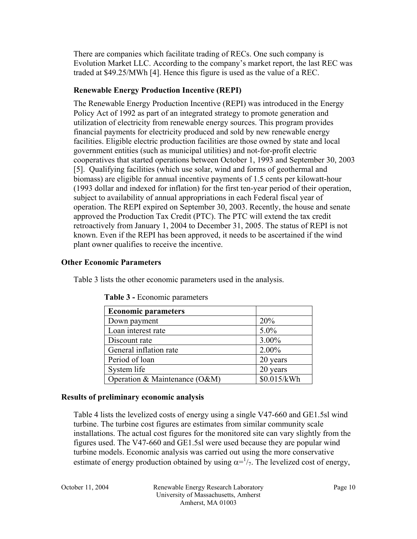There are companies which facilitate trading of RECs. One such company is Evolution Market LLC. According to the company's market report, the last REC was traded at \$49.25/MWh [4]. Hence this figure is used as the value of a REC.

## **Renewable Energy Production Incentive (REPI)**

The Renewable Energy Production Incentive (REPI) was introduced in the Energy Policy Act of 1992 as part of an integrated strategy to promote generation and utilization of electricity from renewable energy sources. This program provides financial payments for electricity produced and sold by new renewable energy facilities. Eligible electric production facilities are those owned by state and local government entities (such as municipal utilities) and not-for-profit electric cooperatives that started operations between October 1, 1993 and September 30, 2003 [5]. Qualifying facilities (which use solar, wind and forms of geothermal and biomass) are eligible for annual incentive payments of 1.5 cents per kilowatt-hour (1993 dollar and indexed for inflation) for the first ten-year period of their operation, subject to availability of annual appropriations in each Federal fiscal year of operation. The REPI expired on September 30, 2003. Recently, the house and senate approved the Production Tax Credit (PTC). The PTC will extend the tax credit retroactively from January 1, 2004 to December 31, 2005. The status of REPI is not known. Even if the REPI has been approved, it needs to be ascertained if the wind plant owner qualifies to receive the incentive.

### **Other Economic Parameters**

Table 3 lists the other economic parameters used in the analysis.

| <b>Economic parameters</b>    |             |
|-------------------------------|-------------|
| Down payment                  | 20%         |
| Loan interest rate            | $5.0\%$     |
| Discount rate                 | 3.00%       |
| General inflation rate        | 2.00%       |
| Period of loan                | 20 years    |
| System life                   | 20 years    |
| Operation & Maintenance (O&M) | \$0.015/kWh |

#### **Results of preliminary economic analysis**

Table 4 lists the levelized costs of energy using a single V47-660 and GE1.5sl wind turbine. The turbine cost figures are estimates from similar community scale installations. The actual cost figures for the monitored site can vary slightly from the figures used. The V47-660 and GE1.5sl were used because they are popular wind turbine models. Economic analysis was carried out using the more conservative estimate of energy production obtained by using  $\alpha = \frac{1}{7}$ . The levelized cost of energy,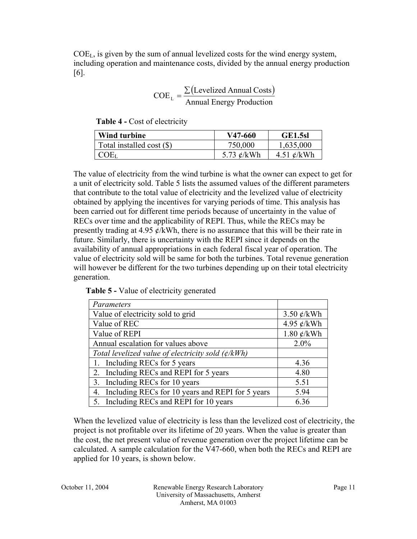$COE<sub>L</sub>$ , is given by the sum of annual levelized costs for the wind energy system, including operation and maintenance costs, divided by the annual energy production [6].

$$
COEL = \frac{\sum (Levelized Annual Costs)}{\text{Annual Energy Production}}
$$

**Table 4 -** Cost of electricity

| Wind turbine              | V47-660          | GE1.5sl                |
|---------------------------|------------------|------------------------|
| Total installed cost (\$) | 750,000          | 1,635,000              |
| $COE_L$                   | 5.73 $\ell$ /kWh | 4.51 $\mathcal{C}/kWh$ |

The value of electricity from the wind turbine is what the owner can expect to get for a unit of electricity sold. Table 5 lists the assumed values of the different parameters that contribute to the total value of electricity and the levelized value of electricity obtained by applying the incentives for varying periods of time. This analysis has been carried out for different time periods because of uncertainty in the value of RECs over time and the applicability of REPI. Thus, while the RECs may be presently trading at 4.95  $\ell$ /kWh, there is no assurance that this will be their rate in future. Similarly, there is uncertainty with the REPI since it depends on the availability of annual appropriations in each federal fiscal year of operation. The value of electricity sold will be same for both the turbines. Total revenue generation will however be different for the two turbines depending up on their total electricity generation.

|  |  | Table 5 - Value of electricity generated |  |
|--|--|------------------------------------------|--|
|--|--|------------------------------------------|--|

| Parameters                                             |                  |
|--------------------------------------------------------|------------------|
| Value of electricity sold to grid                      | 3.50 $\ell$ /kWh |
| Value of REC                                           | 4.95 ¢/kWh       |
| Value of REPI                                          | 1.80 $\ell$ /kWh |
| Annual escalation for values above                     | 2.0%             |
| Total levelized value of electricity sold $(\phi/kWh)$ |                  |
| 1. Including RECs for 5 years                          | 4.36             |
| 2. Including RECs and REPI for 5 years                 | 4.80             |
| 3. Including RECs for 10 years                         | 5.51             |
| Including RECs for 10 years and REPI for 5 years<br>4. | 5.94             |
| 5. Including RECs and REPI for 10 years                | 6.36             |

When the levelized value of electricity is less than the levelized cost of electricity, the project is not profitable over its lifetime of 20 years. When the value is greater than the cost, the net present value of revenue generation over the project lifetime can be calculated. A sample calculation for the V47-660, when both the RECs and REPI are applied for 10 years, is shown below.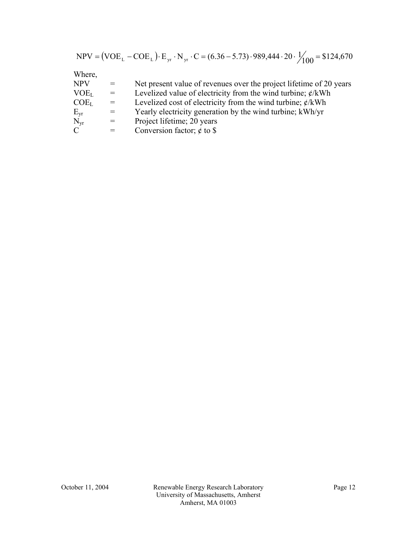|  | $NPV = (VOE_L - COE_L) \cdot E_{yr} \cdot N_{yr} \cdot C = (6.36 - 5.73) \cdot 989,444 \cdot 20 \cdot \frac{1}{100} = $124,670$ |  |
|--|---------------------------------------------------------------------------------------------------------------------------------|--|
|--|---------------------------------------------------------------------------------------------------------------------------------|--|

Where,

| <b>NPV</b>       | $=$ | Net present value of revenues over the project lifetime of 20 years |
|------------------|-----|---------------------------------------------------------------------|
| VOE <sub>L</sub> | $=$ | Levelized value of electricity from the wind turbine; $\phi$ /kWh   |
| COE <sub>L</sub> | $=$ | Levelized cost of electricity from the wind turbine; $\phi$ /kWh    |
| $E_{vr}$         | $=$ | Yearly electricity generation by the wind turbine; kWh/yr           |
| $N_{vr}$         | $=$ | Project lifetime; 20 years                                          |
| $\mathcal{C}$    | $=$ | Conversion factor; $\phi$ to \$                                     |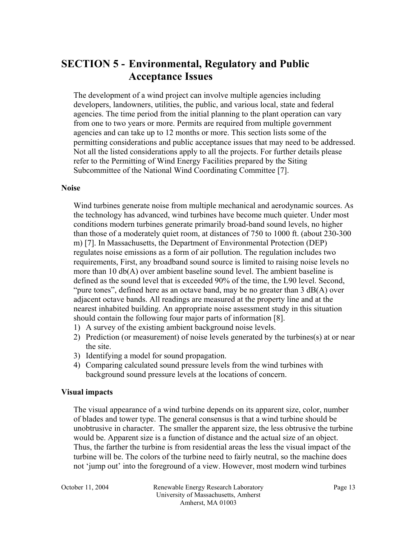## **SECTION 5 - Environmental, Regulatory and Public Acceptance Issues**

The development of a wind project can involve multiple agencies including developers, landowners, utilities, the public, and various local, state and federal agencies. The time period from the initial planning to the plant operation can vary from one to two years or more. Permits are required from multiple government agencies and can take up to 12 months or more. This section lists some of the permitting considerations and public acceptance issues that may need to be addressed. Not all the listed considerations apply to all the projects. For further details please refer to the Permitting of Wind Energy Facilities prepared by the Siting Subcommittee of the National Wind Coordinating Committee [7].

#### **Noise**

Wind turbines generate noise from multiple mechanical and aerodynamic sources. As the technology has advanced, wind turbines have become much quieter. Under most conditions modern turbines generate primarily broad-band sound levels, no higher than those of a moderately quiet room, at distances of 750 to 1000 ft. (about 230-300 m) [7]. In Massachusetts, the Department of Environmental Protection (DEP) regulates noise emissions as a form of air pollution. The regulation includes two requirements, First, any broadband sound source is limited to raising noise levels no more than 10 db(A) over ambient baseline sound level. The ambient baseline is defined as the sound level that is exceeded 90% of the time, the L90 level. Second, "pure tones", defined here as an octave band, may be no greater than  $3 \text{ dB}(A)$  over adjacent octave bands. All readings are measured at the property line and at the nearest inhabited building. An appropriate noise assessment study in this situation should contain the following four major parts of information [8].

- 1) A survey of the existing ambient background noise levels.
- 2) Prediction (or measurement) of noise levels generated by the turbines(s) at or near the site.
- 3) Identifying a model for sound propagation.
- 4) Comparing calculated sound pressure levels from the wind turbines with background sound pressure levels at the locations of concern.

#### **Visual impacts**

The visual appearance of a wind turbine depends on its apparent size, color, number of blades and tower type. The general consensus is that a wind turbine should be unobtrusive in character. The smaller the apparent size, the less obtrusive the turbine would be. Apparent size is a function of distance and the actual size of an object. Thus, the farther the turbine is from residential areas the less the visual impact of the turbine will be. The colors of the turbine need to fairly neutral, so the machine does not 'jump out' into the foreground of a view. However, most modern wind turbines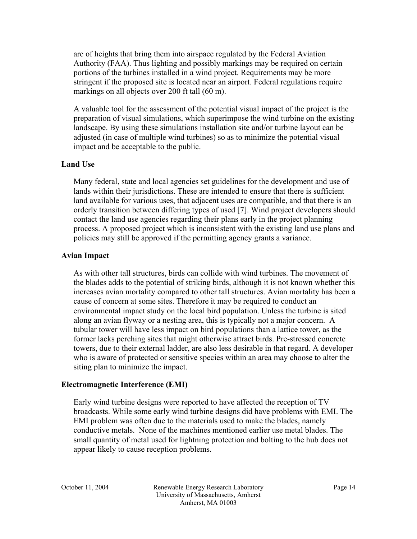are of heights that bring them into airspace regulated by the Federal Aviation Authority (FAA). Thus lighting and possibly markings may be required on certain portions of the turbines installed in a wind project. Requirements may be more stringent if the proposed site is located near an airport. Federal regulations require markings on all objects over 200 ft tall (60 m).

A valuable tool for the assessment of the potential visual impact of the project is the preparation of visual simulations, which superimpose the wind turbine on the existing landscape. By using these simulations installation site and/or turbine layout can be adjusted (in case of multiple wind turbines) so as to minimize the potential visual impact and be acceptable to the public.

#### **Land Use**

Many federal, state and local agencies set guidelines for the development and use of lands within their jurisdictions. These are intended to ensure that there is sufficient land available for various uses, that adjacent uses are compatible, and that there is an orderly transition between differing types of used [7]. Wind project developers should contact the land use agencies regarding their plans early in the project planning process. A proposed project which is inconsistent with the existing land use plans and policies may still be approved if the permitting agency grants a variance.

#### **Avian Impact**

As with other tall structures, birds can collide with wind turbines. The movement of the blades adds to the potential of striking birds, although it is not known whether this increases avian mortality compared to other tall structures. Avian mortality has been a cause of concern at some sites. Therefore it may be required to conduct an environmental impact study on the local bird population. Unless the turbine is sited along an avian flyway or a nesting area, this is typically not a major concern. A tubular tower will have less impact on bird populations than a lattice tower, as the former lacks perching sites that might otherwise attract birds. Pre-stressed concrete towers, due to their external ladder, are also less desirable in that regard. A developer who is aware of protected or sensitive species within an area may choose to alter the siting plan to minimize the impact.

#### **Electromagnetic Interference (EMI)**

Early wind turbine designs were reported to have affected the reception of TV broadcasts. While some early wind turbine designs did have problems with EMI. The EMI problem was often due to the materials used to make the blades, namely conductive metals. None of the machines mentioned earlier use metal blades. The small quantity of metal used for lightning protection and bolting to the hub does not appear likely to cause reception problems.